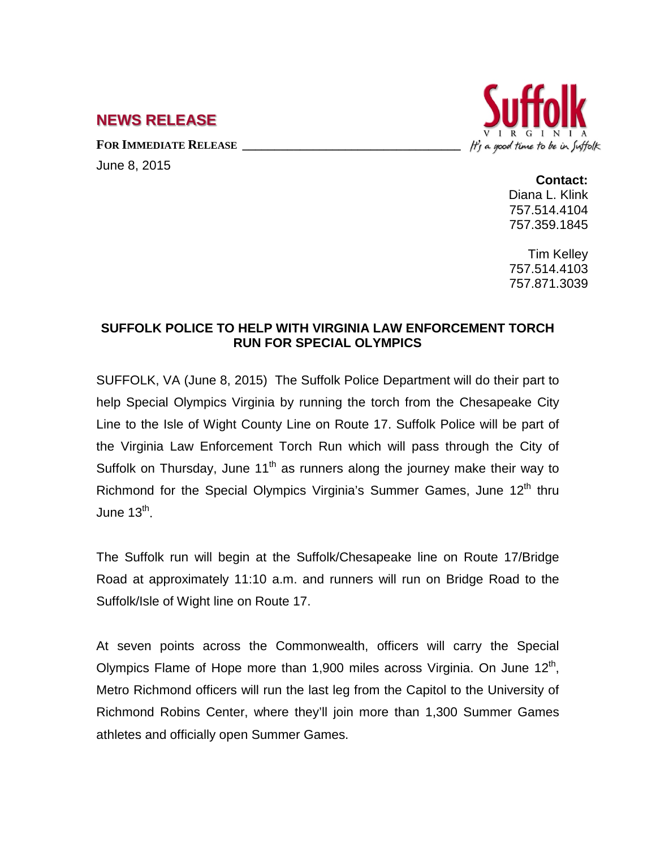## **NEWS RELEASE**

FOR **IMMEDIATE RELEASE** 

June 8, 2015



**Contact:** Diana L. Klink 757.514.4104 757.359.1845

Tim Kelley 757.514.4103 757.871.3039

## **SUFFOLK POLICE TO HELP WITH VIRGINIA LAW ENFORCEMENT TORCH RUN FOR SPECIAL OLYMPICS**

SUFFOLK, VA (June 8, 2015) The Suffolk Police Department will do their part to help Special Olympics Virginia by running the torch from the Chesapeake City Line to the Isle of Wight County Line on Route 17. Suffolk Police will be part of the Virginia Law Enforcement Torch Run which will pass through the City of Suffolk on Thursday, June  $11<sup>th</sup>$  as runners along the journey make their way to Richmond for the Special Olympics Virginia's Summer Games, June 12<sup>th</sup> thru June  $13<sup>th</sup>$ .

The Suffolk run will begin at the Suffolk/Chesapeake line on Route 17/Bridge Road at approximately 11:10 a.m. and runners will run on Bridge Road to the Suffolk/Isle of Wight line on Route 17.

At seven points across the Commonwealth, officers will carry the Special Olympics Flame of Hope more than 1,900 miles across Virginia. On June  $12<sup>th</sup>$ , Metro Richmond officers will run the last leg from the Capitol to the University of Richmond Robins Center, where they'll join more than 1,300 Summer Games athletes and officially open Summer Games.